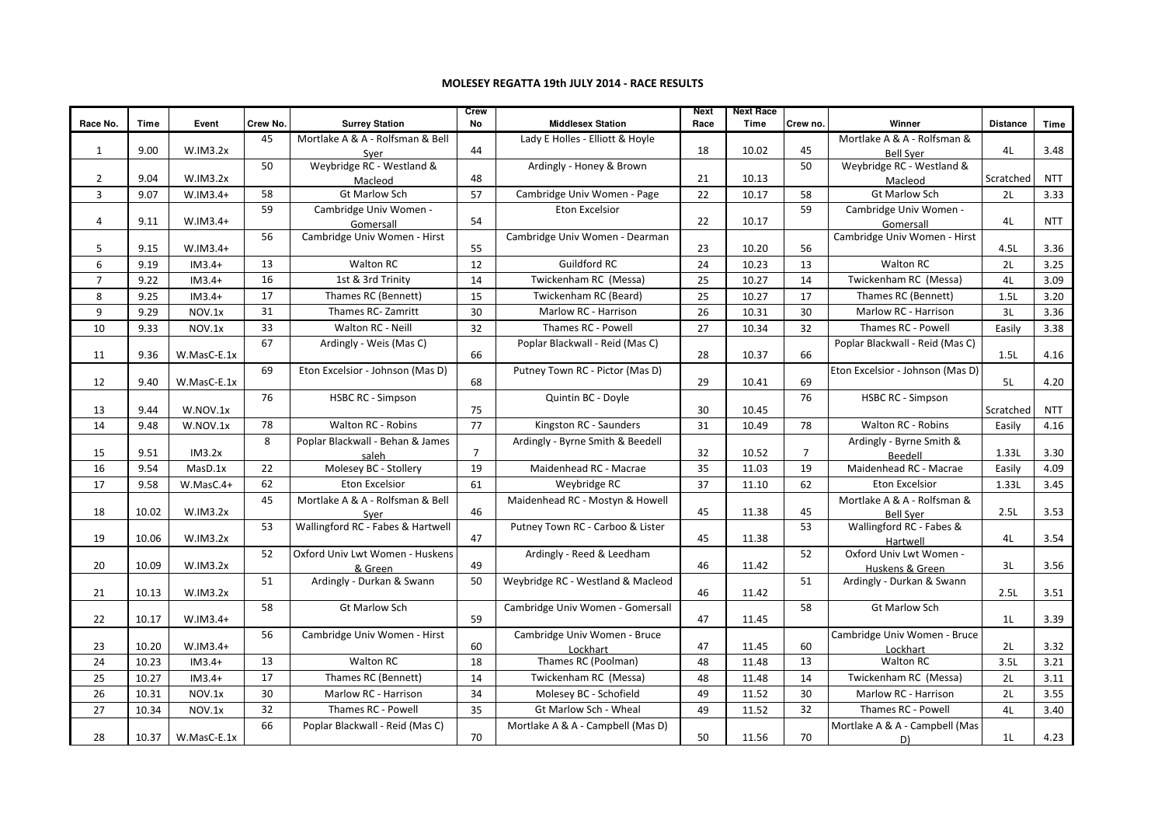## MOLESEY REGATTA 19th JULY 2014 - RACE RESULTS

|                |       |             |          |                                   | Crew           |                                   | <b>Next</b> | <b>Next Race</b> |                |                                     |                 |            |
|----------------|-------|-------------|----------|-----------------------------------|----------------|-----------------------------------|-------------|------------------|----------------|-------------------------------------|-----------------|------------|
| Race No.       | Time  | Event       | Crew No. | <b>Surrey Station</b>             | No             | <b>Middlesex Station</b>          | Race        | Time             | Crew no.       | Winner                              | <b>Distance</b> | Time       |
|                |       |             | 45       | Mortlake A & A - Rolfsman & Bell  |                | Lady E Holles - Elliott & Hoyle   |             |                  |                | Mortlake A & A - Rolfsman &         |                 |            |
| $\mathbf{1}$   | 9.00  | W.IM3.2x    |          | Sver                              | 44             |                                   | 18          | 10.02            | 45             | <b>Bell Sver</b>                    | 4L              | 3.48       |
|                |       |             | 50       | Weybridge RC - Westland &         |                | Ardingly - Honey & Brown          |             |                  | 50             | Weybridge RC - Westland &           |                 |            |
| $\overline{2}$ | 9.04  | W.IM3.2x    |          | Macleod                           | 48             |                                   | 21          | 10.13            |                | Macleod                             | Scratched       | <b>NTT</b> |
| $\overline{3}$ | 9.07  | $W.IM3.4+$  | 58       | <b>Gt Marlow Sch</b>              | 57             | Cambridge Univ Women - Page       | 22          | 10.17            | 58             | <b>Gt Marlow Sch</b>                | 2L              | 3.33       |
|                |       |             | 59       | Cambridge Univ Women -            |                | <b>Eton Excelsior</b>             |             |                  | 59             | Cambridge Univ Women -              |                 |            |
| 4              | 9.11  | $W.IM3.4+$  |          | Gomersall                         | 54             |                                   | 22          | 10.17            |                | Gomersall                           | 4L              | <b>NTT</b> |
| 5              | 9.15  | $W.IM3.4+$  | 56       | Cambridge Univ Women - Hirst      | 55             | Cambridge Univ Women - Dearman    | 23          | 10.20            | 56             | Cambridge Univ Women - Hirst        | 4.5L            | 3.36       |
|                |       |             | 13       | Walton RC                         |                | <b>Guildford RC</b>               |             |                  |                | <b>Walton RC</b>                    |                 |            |
| 6              | 9.19  | $IM3.4+$    |          |                                   | 12             |                                   | 24          | 10.23            | 13             |                                     | 2L              | 3.25       |
| $\overline{7}$ | 9.22  | $IM3.4+$    | 16       | 1st & 3rd Trinity                 | 14             | Twickenham RC (Messa)             | 25          | 10.27            | 14             | Twickenham RC (Messa)               | 4L              | 3.09       |
| 8              | 9.25  | $IM3.4+$    | 17       | Thames RC (Bennett)               | 15             | Twickenham RC (Beard)             | 25          | 10.27            | 17             | Thames RC (Bennett)                 | 1.5L            | 3.20       |
| 9              | 9.29  | NOV.1x      | 31       | Thames RC-Zamritt                 | 30             | Marlow RC - Harrison              | 26          | 10.31            | 30             | Marlow RC - Harrison                | 3L              | 3.36       |
| 10             | 9.33  | NOV.1x      | 33       | Walton RC - Neill                 | 32             | Thames RC - Powell                | 27          | 10.34            | 32             | Thames RC - Powell                  | Easily          | 3.38       |
|                |       |             | 67       | Ardingly - Weis (Mas C)           |                | Poplar Blackwall - Reid (Mas C)   |             |                  |                | Poplar Blackwall - Reid (Mas C)     |                 |            |
| 11             | 9.36  | W.MasC-E.1x |          |                                   | 66             |                                   | 28          | 10.37            | 66             |                                     | 1.5L            | 4.16       |
|                |       |             | 69       | Eton Excelsior - Johnson (Mas D)  |                | Putney Town RC - Pictor (Mas D)   |             |                  |                | Eton Excelsior - Johnson (Mas D)    |                 |            |
| 12             | 9.40  | W.MasC-E.1x |          |                                   | 68             |                                   | 29          | 10.41            | 69             |                                     | 5L              | 4.20       |
|                |       |             | 76       | <b>HSBC RC - Simpson</b>          |                | Quintin BC - Doyle                |             |                  | 76             | <b>HSBC RC - Simpson</b>            |                 |            |
| 13             | 9.44  | W.NOV.1x    |          |                                   | 75             |                                   | 30          | 10.45            |                |                                     | Scratched       | <b>NTT</b> |
| 14             | 9.48  | W.NOV.1x    | 78       | <b>Walton RC - Robins</b>         | 77             | Kingston RC - Saunders            | 31          | 10.49            | 78             | <b>Walton RC - Robins</b>           | Easily          | 4.16       |
|                | 9.51  | IM3.2x      | 8        | Poplar Blackwall - Behan & James  | $\overline{7}$ | Ardingly - Byrne Smith & Beedell  | 32          | 10.52            | $\overline{7}$ | Ardingly - Byrne Smith &            |                 | 3.30       |
| 15             |       |             |          | saleh                             |                |                                   |             |                  |                | Beedell                             | 1.33L           |            |
| 16             | 9.54  | MasD.1x     | 22       | Molesey BC - Stollery             | 19             | Maidenhead RC - Macrae            | 35          | 11.03            | 19             | Maidenhead RC - Macrae              | Easily          | 4.09       |
| 17             | 9.58  | W.MasC.4+   | 62       | <b>Eton Excelsior</b>             | 61             | Weybridge RC                      | 37          | 11.10            | 62             | <b>Eton Excelsior</b>               | 1.33L           | 3.45       |
|                |       |             | 45       | Mortlake A & A - Rolfsman & Bell  |                | Maidenhead RC - Mostyn & Howell   | 45          |                  | 45             | Mortlake A & A - Rolfsman &         |                 |            |
| 18             | 10.02 | W.IM3.2x    |          | Sver                              | 46             |                                   |             | 11.38            | 53             | <b>Bell Sver</b>                    | 2.5L            | 3.53       |
| 19             | 10.06 | W.IM3.2x    | 53       | Wallingford RC - Fabes & Hartwell | 47             | Putney Town RC - Carboo & Lister  | 45          | 11.38            |                | Wallingford RC - Fabes &            | 4L              | 3.54       |
|                |       |             | 52       | Oxford Univ Lwt Women - Huskens   |                | Ardingly - Reed & Leedham         |             |                  | 52             | Hartwell<br>Oxford Univ Lwt Women - |                 |            |
| 20             | 10.09 | W.IM3.2x    |          | & Green                           | 49             |                                   | 46          | 11.42            |                | Huskens & Green                     | 3L              | 3.56       |
|                |       |             | 51       | Ardingly - Durkan & Swann         | 50             | Weybridge RC - Westland & Macleod |             |                  | 51             | Ardingly - Durkan & Swann           |                 |            |
| 21             | 10.13 | W.IM3.2x    |          |                                   |                |                                   | 46          | 11.42            |                |                                     | 2.5L            | 3.51       |
|                |       |             | 58       | <b>Gt Marlow Sch</b>              |                | Cambridge Univ Women - Gomersall  |             |                  | 58             | <b>Gt Marlow Sch</b>                |                 |            |
| 22             | 10.17 | $W.IM3.4+$  |          |                                   | 59             |                                   | 47          | 11.45            |                |                                     | 1 <sub>L</sub>  | 3.39       |
|                |       |             | 56       | Cambridge Univ Women - Hirst      |                | Cambridge Univ Women - Bruce      |             |                  |                | Cambridge Univ Women - Bruce        |                 |            |
| 23             | 10.20 | $W.IM3.4+$  |          |                                   | 60             | Lockhart                          | 47          | 11.45            | 60             | Lockhart                            | 2L              | 3.32       |
| 24             | 10.23 | $IM3.4+$    | 13       | <b>Walton RC</b>                  | 18             | Thames RC (Poolman)               | 48          | 11.48            | 13             | <b>Walton RC</b>                    | 3.5L            | 3.21       |
| 25             | 10.27 | $IM3.4+$    | 17       | Thames RC (Bennett)               | 14             | Twickenham RC (Messa)             | 48          | 11.48            | 14             | Twickenham RC (Messa)               | 2L              | 3.11       |
| 26             | 10.31 | NOV.1x      | 30       | Marlow RC - Harrison              | 34             | Molesey BC - Schofield            | 49          | 11.52            | 30             | Marlow RC - Harrison                | 2L              | 3.55       |
| 27             | 10.34 | NOV.1x      | 32       | Thames RC - Powell                | 35             | <b>Gt Marlow Sch - Wheal</b>      | 49          | 11.52            | 32             | Thames RC - Powell                  | 4L              | 3.40       |
|                |       |             | 66       | Poplar Blackwall - Reid (Mas C)   |                | Mortlake A & A - Campbell (Mas D) |             |                  |                | Mortlake A & A - Campbell (Mas      |                 |            |
| 28             | 10.37 | W.MasC-E.1x |          |                                   | 70             |                                   | 50          | 11.56            | 70             | D)                                  | 1 <sub>L</sub>  | 4.23       |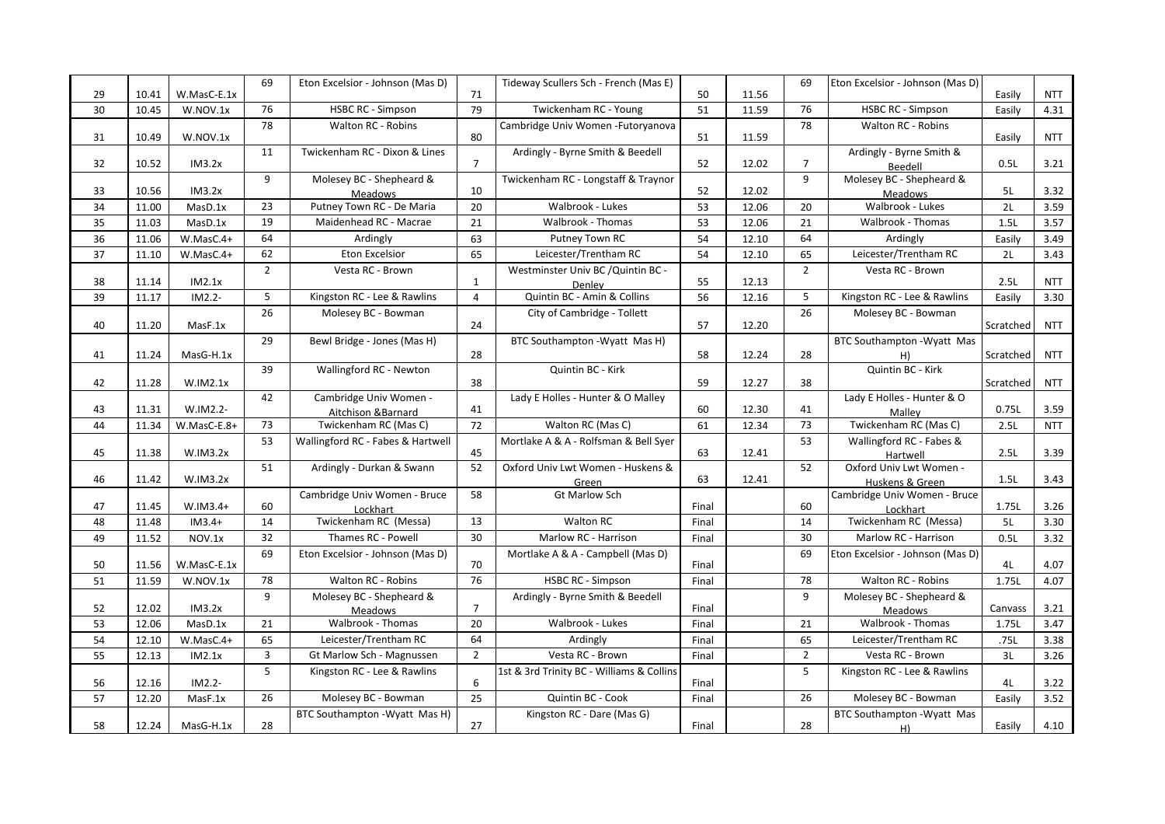|    |       |             | 69             | Eton Excelsior - Johnson (Mas D)            |                | Tideway Scullers Sch - French (Mas E)     |       |       | 69             | Eton Excelsior - Johnson (Mas D)    |           |            |
|----|-------|-------------|----------------|---------------------------------------------|----------------|-------------------------------------------|-------|-------|----------------|-------------------------------------|-----------|------------|
| 29 | 10.41 | W.MasC-E.1x |                |                                             | 71             |                                           | 50    | 11.56 |                |                                     | Easily    | <b>NTT</b> |
| 30 | 10.45 | W.NOV.1x    | 76             | <b>HSBC RC - Simpson</b>                    | 79             | Twickenham RC - Young                     | 51    | 11.59 | 76             | <b>HSBC RC - Simpson</b>            | Easily    | 4.31       |
|    |       |             | 78             | Walton RC - Robins                          |                | Cambridge Univ Women - Futoryanova        |       |       | 78             | Walton RC - Robins                  |           |            |
| 31 | 10.49 | W.NOV.1x    |                |                                             | 80             |                                           | 51    | 11.59 |                |                                     | Easily    | <b>NTT</b> |
| 32 | 10.52 | IM3.2x      | 11             | Twickenham RC - Dixon & Lines               | $\overline{7}$ | Ardingly - Byrne Smith & Beedell          | 52    | 12.02 | $\overline{7}$ | Ardingly - Byrne Smith &            | 0.5L      | 3.21       |
|    |       |             | 9              | Molesey BC - Shepheard &                    |                | Twickenham RC - Longstaff & Traynor       |       |       | 9              | Beedell<br>Molesey BC - Shepheard & |           |            |
| 33 | 10.56 | IM3.2x      |                | Meadows                                     | 10             |                                           | 52    | 12.02 |                | Meadows                             | 5L        | 3.32       |
| 34 | 11.00 | MasD.1x     | 23             | Putney Town RC - De Maria                   | 20             | Walbrook - Lukes                          | 53    | 12.06 | 20             | Walbrook - Lukes                    | 2L        | 3.59       |
| 35 | 11.03 | MasD.1x     | 19             | Maidenhead RC - Macrae                      | 21             | <b>Walbrook - Thomas</b>                  | 53    | 12.06 | 21             | Walbrook - Thomas                   | 1.5L      | 3.57       |
| 36 | 11.06 | W.MasC.4+   | 64             | Ardingly                                    | 63             | Putney Town RC                            | 54    | 12.10 | 64             | Ardingly                            | Easily    | 3.49       |
| 37 | 11.10 | W.MasC.4+   | 62             | <b>Eton Excelsior</b>                       | 65             | Leicester/Trentham RC                     | 54    | 12.10 | 65             | Leicester/Trentham RC               | 2L        | 3.43       |
|    |       |             | $\overline{2}$ | Vesta RC - Brown                            |                | Westminster Univ BC / Quintin BC -        |       |       | $\overline{2}$ | Vesta RC - Brown                    |           |            |
| 38 | 11.14 | IM2.1x      |                |                                             | 1              | Denley                                    | 55    | 12.13 |                |                                     | 2.5L      | <b>NTT</b> |
| 39 | 11.17 | IM2.2-      | 5              | Kingston RC - Lee & Rawlins                 | $\overline{4}$ | Quintin BC - Amin & Collins               | 56    | 12.16 | 5              | Kingston RC - Lee & Rawlins         | Easily    | 3.30       |
|    |       |             | 26             | Molesey BC - Bowman                         |                | City of Cambridge - Tollett               |       |       | 26             | Molesey BC - Bowman                 |           |            |
| 40 | 11.20 | MasF.1x     |                |                                             | 24             |                                           | 57    | 12.20 |                |                                     | Scratched | <b>NTT</b> |
|    |       |             | 29             | Bewl Bridge - Jones (Mas H)                 |                | BTC Southampton - Wyatt Mas H)            |       |       |                | BTC Southampton - Wyatt Mas         |           |            |
| 41 | 11.24 | MasG-H.1x   |                |                                             | 28             |                                           | 58    | 12.24 | 28             | H)                                  | Scratched | <b>NTT</b> |
|    |       |             | 39             | Wallingford RC - Newton                     |                | Quintin BC - Kirk                         |       |       |                | Quintin BC - Kirk                   |           |            |
| 42 | 11.28 | W.IM2.1x    |                |                                             | 38             |                                           | 59    | 12.27 | 38             |                                     | Scratched | <b>NTT</b> |
| 43 | 11.31 | W.IM2.2-    | 42             | Cambridge Univ Women -                      | 41             | Lady E Holles - Hunter & O Malley         | 60    | 12.30 | 41             | Lady E Holles - Hunter & O          | 0.75L     | 3.59       |
| 44 | 11.34 | W.MasC-E.8+ | 73             | Aitchison &Barnard<br>Twickenham RC (Mas C) | 72             | Walton RC (Mas C)                         | 61    | 12.34 | 73             | Malley<br>Twickenham RC (Mas C)     | 2.5L      | <b>NTT</b> |
|    |       |             | 53             |                                             |                | Mortlake A & A - Rolfsman & Bell Syer     |       |       | 53             | Wallingford RC - Fabes &            |           |            |
| 45 | 11.38 | W.IM3.2x    |                | Wallingford RC - Fabes & Hartwell           | 45             |                                           | 63    | 12.41 |                | Hartwell                            | 2.5L      | 3.39       |
|    |       |             | 51             | Ardingly - Durkan & Swann                   | 52             | Oxford Univ Lwt Women - Huskens &         |       |       | 52             | Oxford Univ Lwt Women -             |           |            |
| 46 | 11.42 | W.IM3.2x    |                |                                             |                | Green                                     | 63    | 12.41 |                | Huskens & Green                     | 1.5L      | 3.43       |
|    |       |             |                | Cambridge Univ Women - Bruce                | 58             | <b>Gt Marlow Sch</b>                      |       |       |                | Cambridge Univ Women - Bruce        |           |            |
| 47 | 11.45 | W.IM3.4+    | 60             | Lockhart                                    |                |                                           | Final |       | 60             | Lockhart                            | 1.75L     | 3.26       |
| 48 | 11.48 | $IM3.4+$    | 14             | Twickenham RC (Messa)                       | 13             | <b>Walton RC</b>                          | Final |       | 14             | Twickenham RC (Messa)               | 5L        | 3.30       |
| 49 | 11.52 | NOV.1x      | 32             | Thames RC - Powell                          | 30             | Marlow RC - Harrison                      | Final |       | 30             | Marlow RC - Harrison                | 0.5L      | 3.32       |
|    |       |             | 69             | Eton Excelsior - Johnson (Mas D)            |                | Mortlake A & A - Campbell (Mas D)         |       |       | 69             | Eton Excelsior - Johnson (Mas D)    |           |            |
| 50 | 11.56 | W.MasC-E.1x | 78             | <b>Walton RC - Robins</b>                   | 70<br>76       | <b>HSBC RC - Simpson</b>                  | Final |       | 78             | <b>Walton RC - Robins</b>           | 4L        | 4.07       |
| 51 | 11.59 | W.NOV.1x    |                |                                             |                |                                           | Final |       |                |                                     | 1.75L     | 4.07       |
| 52 | 12.02 | IM3.2x      | 9              | Molesey BC - Shepheard &                    | $\overline{7}$ | Ardingly - Byrne Smith & Beedell          | Final |       | 9              | Molesey BC - Shepheard &            | Canvass   | 3.21       |
| 53 | 12.06 | MasD.1x     | 21             | Meadows<br>Walbrook - Thomas                | 20             | Walbrook - Lukes                          | Final |       | 21             | Meadows<br>Walbrook - Thomas        | 1.75L     | 3.47       |
| 54 | 12.10 | W.MasC.4+   | 65             | Leicester/Trentham RC                       | 64             | Ardingly                                  | Final |       | 65             | Leicester/Trentham RC               | .75L      | 3.38       |
| 55 | 12.13 | IM2.1x      | 3              | Gt Marlow Sch - Magnussen                   | $\overline{2}$ | Vesta RC - Brown                          | Final |       | $\overline{2}$ | Vesta RC - Brown                    | 3L        | 3.26       |
|    |       |             | 5              | Kingston RC - Lee & Rawlins                 |                | 1st & 3rd Trinity BC - Williams & Collins |       |       | 5              | Kingston RC - Lee & Rawlins         |           |            |
| 56 | 12.16 | IM2.2-      |                |                                             | 6              |                                           | Final |       |                |                                     | 4L        | 3.22       |
| 57 | 12.20 | MasF.1x     | 26             | Molesey BC - Bowman                         | 25             | Quintin BC - Cook                         | Final |       | 26             | Molesey BC - Bowman                 | Easily    | 3.52       |
|    |       |             |                | BTC Southampton - Wyatt Mas H)              |                | Kingston RC - Dare (Mas G)                |       |       |                | BTC Southampton - Wyatt Mas         |           |            |
| 58 | 12.24 | MasG-H.1x   | 28             |                                             | 27             |                                           | Final |       | 28             | H)                                  | Easily    | 4.10       |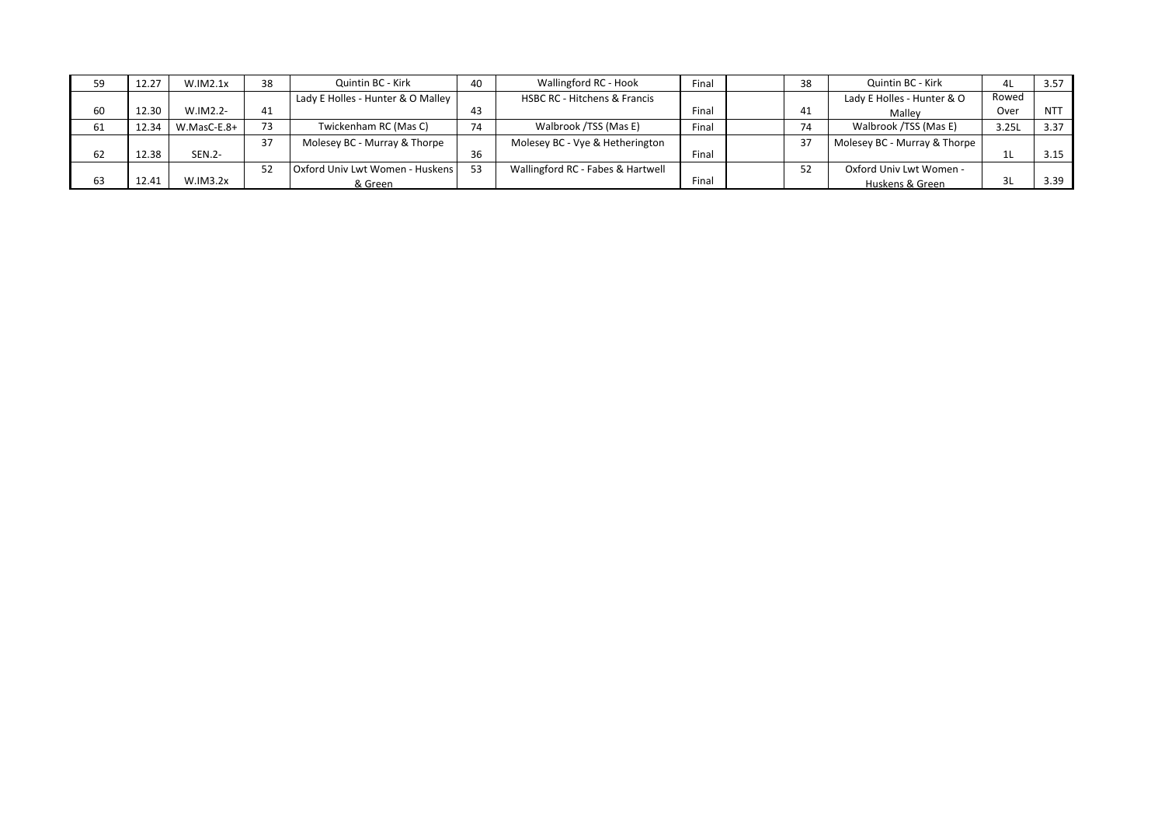|    | 12.27 | W.IM2.1x      | 38 | Quintin BC - Kirk                 | 40 | Wallingford RC - Hook                   | Final | 38 | Quintin BC - Kirk            | 4L    | 3.57       |
|----|-------|---------------|----|-----------------------------------|----|-----------------------------------------|-------|----|------------------------------|-------|------------|
|    |       |               |    | Lady E Holles - Hunter & O Malley |    | <b>HSBC RC - Hitchens &amp; Francis</b> |       |    | Lady E Holles - Hunter & O   | Rowed |            |
| 60 | 12.30 | W.IM2.2-      | 41 |                                   | 43 |                                         | Final | 41 | Malley                       | Over  | <b>NTT</b> |
| 61 | 12.34 | W.MasC-E.8+   | 73 | Twickenham RC (Mas C)             | 74 | Walbrook /TSS (Mas E)                   | Final | 74 | Walbrook /TSS (Mas E)        | 3.25L | 3.37       |
|    |       |               | 37 | Molesey BC - Murray & Thorpe      |    | Molesey BC - Vye & Hetherington         |       | 37 | Molesey BC - Murray & Thorpe |       |            |
| 62 | 12.38 | <b>SEN.2-</b> |    |                                   | 36 |                                         | Final |    |                              |       | 3.15       |
|    |       |               | 52 | Oxford Univ Lwt Women - Huskens   | 53 | Wallingford RC - Fabes & Hartwell       |       | 52 | Oxford Univ Lwt Women -      |       |            |
| 63 | 12.41 | W.IM3.2x      |    | & Green                           |    |                                         | Final |    | Huskens & Green              | 3L    | 3.39       |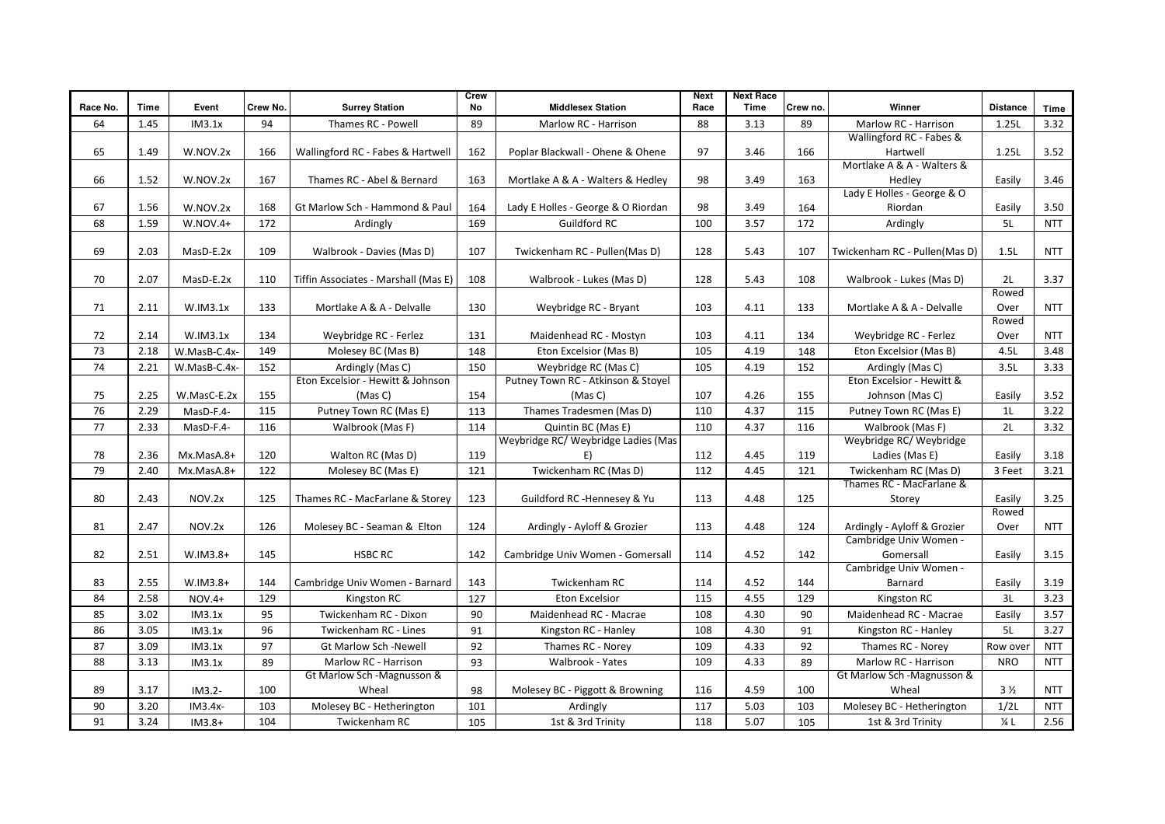| Race No. | Time | Event        | Crew No. | <b>Surrey Station</b>                | Crew<br>No | <b>Middlesex Station</b>            | <b>Next</b><br>Race | <b>Next Race</b><br>Time | Crew no. | Winner                        | <b>Distance</b> | Time       |
|----------|------|--------------|----------|--------------------------------------|------------|-------------------------------------|---------------------|--------------------------|----------|-------------------------------|-----------------|------------|
| 64       | 1.45 | IM3.1x       | 94       | Thames RC - Powell                   | 89         | Marlow RC - Harrison                | 88                  | 3.13                     | 89       | Marlow RC - Harrison          | 1.25L           | 3.32       |
|          |      |              |          |                                      |            |                                     |                     |                          |          | Wallingford RC - Fabes &      |                 |            |
| 65       | 1.49 | W.NOV.2x     | 166      | Wallingford RC - Fabes & Hartwell    | 162        | Poplar Blackwall - Ohene & Ohene    | 97                  | 3.46                     | 166      | Hartwell                      | 1.25L           | 3.52       |
|          |      |              |          |                                      |            |                                     |                     |                          |          | Mortlake A & A - Walters &    |                 |            |
| 66       | 1.52 | W.NOV.2x     | 167      | Thames RC - Abel & Bernard           | 163        | Mortlake A & A - Walters & Hedley   | 98                  | 3.49                     | 163      | Hedley                        | Easily          | 3.46       |
|          |      |              |          |                                      |            |                                     |                     |                          |          | Lady E Holles - George & O    |                 |            |
| 67       | 1.56 | W.NOV.2x     | 168      | Gt Marlow Sch - Hammond & Paul       | 164        | Lady E Holles - George & O Riordan  | 98                  | 3.49                     | 164      | Riordan                       | Easily          | 3.50       |
| 68       | 1.59 | $W.NOV.4+$   | 172      | Ardingly                             | 169        | <b>Guildford RC</b>                 | 100                 | 3.57                     | 172      | Ardingly                      | 5L              | <b>NTT</b> |
|          |      |              |          |                                      |            |                                     |                     |                          |          |                               |                 |            |
| 69       | 2.03 | MasD-E.2x    | 109      | Walbrook - Davies (Mas D)            | 107        | Twickenham RC - Pullen(Mas D)       | 128                 | 5.43                     | 107      | Twickenham RC - Pullen(Mas D) | 1.5L            | <b>NTT</b> |
| 70       | 2.07 | MasD-E.2x    | 110      | Tiffin Associates - Marshall (Mas E) | 108        | Walbrook - Lukes (Mas D)            | 128                 | 5.43                     | 108      | Walbrook - Lukes (Mas D)      | 2L              | 3.37       |
|          |      |              |          |                                      |            |                                     |                     |                          |          |                               | Rowed           |            |
| 71       | 2.11 | W.IM3.1x     | 133      | Mortlake A & A - Delvalle            | 130        | Weybridge RC - Bryant               | 103                 | 4.11                     | 133      | Mortlake A & A - Delvalle     | Over            | <b>NTT</b> |
|          |      |              |          |                                      |            |                                     |                     |                          |          |                               | Rowed           |            |
| 72       | 2.14 | W.IM3.1x     | 134      | Weybridge RC - Ferlez                | 131        | Maidenhead RC - Mostyn              | 103                 | 4.11                     | 134      | Weybridge RC - Ferlez         | Over            | <b>NTT</b> |
| 73       | 2.18 | W.MasB-C.4x- | 149      | Molesey BC (Mas B)                   | 148        | Eton Excelsior (Mas B)              | 105                 | 4.19                     | 148      | Eton Excelsior (Mas B)        | 4.5L            | 3.48       |
| 74       | 2.21 | W.MasB-C.4x- | 152      | Ardingly (Mas C)                     | 150        | Weybridge RC (Mas C)                | 105                 | 4.19                     | 152      | Ardingly (Mas C)              | 3.5L            | 3.33       |
|          |      |              |          | Eton Excelsior - Hewitt & Johnson    |            | Putney Town RC - Atkinson & Stoyel  |                     |                          |          | Eton Excelsior - Hewitt &     |                 |            |
| 75       | 2.25 | W.MasC-E.2x  | 155      | (Mas C)                              | 154        | (Mas C)                             | 107                 | 4.26                     | 155      | Johnson (Mas C)               | Easily          | 3.52       |
| 76       | 2.29 | MasD-F.4-    | 115      | Putney Town RC (Mas E)               | 113        | Thames Tradesmen (Mas D)            | 110                 | 4.37                     | 115      | Putney Town RC (Mas E)        | 1L              | 3.22       |
| 77       | 2.33 | MasD-F.4-    | 116      | Walbrook (Mas F)                     | 114        | Quintin BC (Mas E)                  | 110                 | 4.37                     | 116      | Walbrook (Mas F)              | 2L              | 3.32       |
|          |      |              |          |                                      |            | Weybridge RC/ Weybridge Ladies (Mas |                     |                          |          | Weybridge RC/ Weybridge       |                 |            |
| 78       | 2.36 | Mx.MasA.8+   | 120      | Walton RC (Mas D)                    | 119        | E)                                  | 112                 | 4.45                     | 119      | Ladies (Mas E)                | Easily          | 3.18       |
| 79       | 2.40 | Mx.MasA.8+   | 122      | Molesey BC (Mas E)                   | 121        | Twickenham RC (Mas D)               | 112                 | 4.45                     | 121      | Twickenham RC (Mas D)         | 3 Feet          | 3.21       |
|          |      |              |          |                                      |            |                                     |                     |                          |          | Thames RC - MacFarlane &      |                 |            |
| 80       | 2.43 | NOV.2x       | 125      | Thames RC - MacFarlane & Storey      | 123        | Guildford RC -Hennesey & Yu         | 113                 | 4.48                     | 125      | Storey                        | Easily<br>Rowed | 3.25       |
| 81       | 2.47 | NOV.2x       | 126      | Molesey BC - Seaman & Elton          | 124        | Ardingly - Ayloff & Grozier         | 113                 | 4.48                     | 124      | Ardingly - Ayloff & Grozier   | Over            | <b>NTT</b> |
|          |      |              |          |                                      |            |                                     |                     |                          |          | Cambridge Univ Women -        |                 |            |
| 82       | 2.51 | W.IM3.8+     | 145      | <b>HSBC RC</b>                       | 142        | Cambridge Univ Women - Gomersall    | 114                 | 4.52                     | 142      | Gomersall                     | Easily          | 3.15       |
|          |      |              |          |                                      |            |                                     |                     |                          |          | Cambridge Univ Women -        |                 |            |
| 83       | 2.55 | $W.IM3.8+$   | 144      | Cambridge Univ Women - Barnard       | 143        | Twickenham RC                       | 114                 | 4.52                     | 144      | Barnard                       | Easily          | 3.19       |
| 84       | 2.58 | $NOV.4+$     | 129      | Kingston RC                          | 127        | <b>Eton Excelsior</b>               | 115                 | 4.55                     | 129      | Kingston RC                   | 3L              | 3.23       |
| 85       | 3.02 | IM3.1x       | 95       | Twickenham RC - Dixon                | 90         | Maidenhead RC - Macrae              | 108                 | 4.30                     | 90       | Maidenhead RC - Macrae        | Easily          | 3.57       |
| 86       | 3.05 | IM3.1x       | 96       | Twickenham RC - Lines                | 91         | Kingston RC - Hanley                | 108                 | 4.30                     | 91       | Kingston RC - Hanley          | 5L              | 3.27       |
| 87       | 3.09 | IM3.1x       | 97       | <b>Gt Marlow Sch -Newell</b>         | 92         | Thames RC - Norey                   | 109                 | 4.33                     | 92       | Thames RC - Norey             | Row over        | <b>NTT</b> |
| 88       | 3.13 | IM3.1x       | 89       | Marlow RC - Harrison                 | 93         | Walbrook - Yates                    | 109                 | 4.33                     | 89       | Marlow RC - Harrison          | <b>NRO</b>      | <b>NTT</b> |
|          |      |              |          | Gt Marlow Sch -Magnusson &           |            |                                     |                     |                          |          | Gt Marlow Sch -Magnusson &    |                 |            |
| 89       | 3.17 | $IM3.2-$     | 100      | Wheal                                | 98         | Molesey BC - Piggott & Browning     | 116                 | 4.59                     | 100      | Wheal                         | 3 <sub>2</sub>  | <b>NTT</b> |
| 90       | 3.20 | $IM3.4x-$    | 103      | Molesey BC - Hetherington            | 101        | Ardingly                            | 117                 | 5.03                     | 103      | Molesey BC - Hetherington     | 1/2L            | <b>NTT</b> |
| 91       | 3.24 | $IM3.8+$     | 104      | Twickenham RC                        | 105        | 1st & 3rd Trinity                   | 118                 | 5.07                     | 105      | 1st & 3rd Trinity             | $\frac{1}{4}$ L | 2.56       |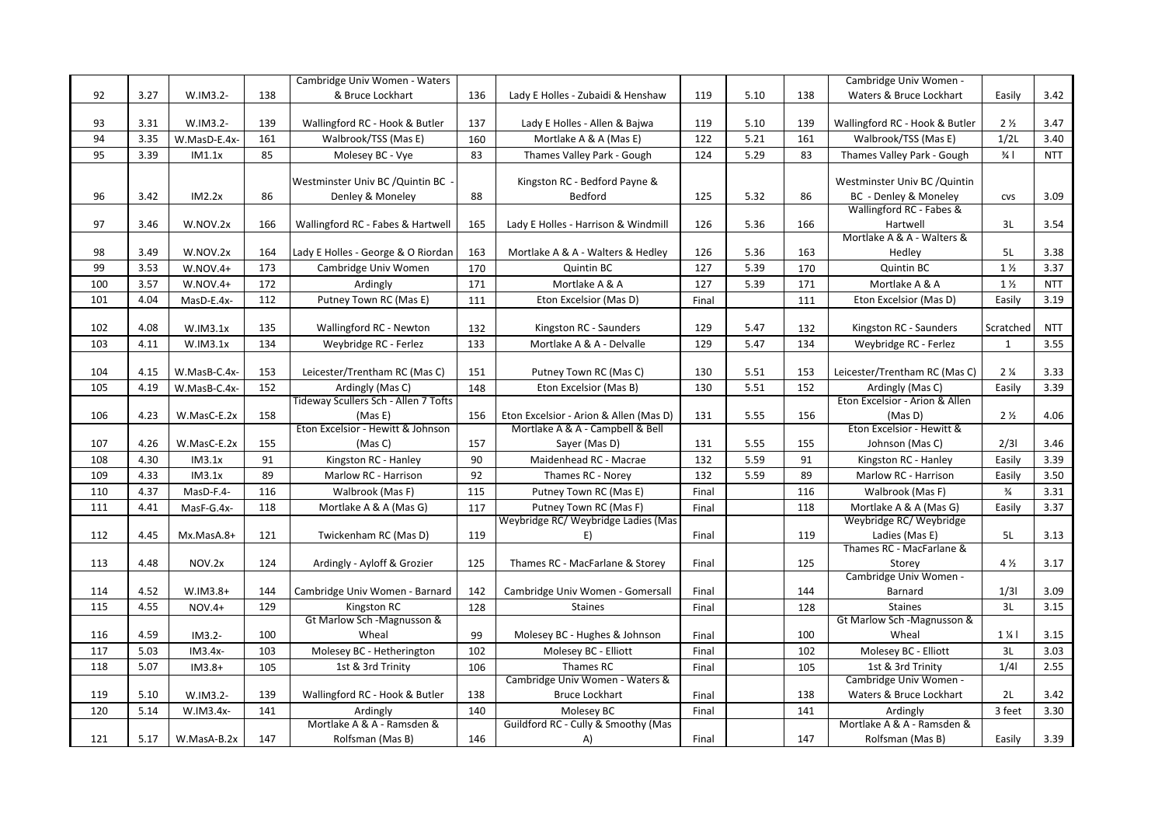|     |      |              |     | Cambridge Univ Women - Waters        |     |                                        |       |      |     | Cambridge Univ Women -         |                               |            |
|-----|------|--------------|-----|--------------------------------------|-----|----------------------------------------|-------|------|-----|--------------------------------|-------------------------------|------------|
| 92  | 3.27 | W.IM3.2-     | 138 | & Bruce Lockhart                     | 136 | Lady E Holles - Zubaidi & Henshaw      | 119   | 5.10 | 138 | Waters & Bruce Lockhart        | Easily                        | 3.42       |
|     |      |              |     |                                      |     |                                        |       |      |     |                                |                               |            |
| 93  | 3.31 | W.IM3.2-     | 139 | Wallingford RC - Hook & Butler       | 137 | Lady E Holles - Allen & Bajwa          | 119   | 5.10 | 139 | Wallingford RC - Hook & Butler | 2 <sub>2</sub>                | 3.47       |
| 94  | 3.35 | W.MasD-E.4x- | 161 | Walbrook/TSS (Mas E)                 | 160 | Mortlake A & A (Mas E)                 | 122   | 5.21 | 161 | Walbrook/TSS (Mas E)           | 1/2L                          | 3.40       |
| 95  | 3.39 | IM1.1x       | 85  | Molesey BC - Vye                     | 83  | Thames Valley Park - Gough             | 124   | 5.29 | 83  | Thames Valley Park - Gough     | $\frac{3}{4}$                 | <b>NTT</b> |
|     |      |              |     |                                      |     |                                        |       |      |     |                                |                               |            |
|     |      |              |     | Westminster Univ BC / Quintin BC     |     | Kingston RC - Bedford Payne &          |       |      |     | Westminster Univ BC / Quintin  |                               |            |
| 96  | 3.42 | IM2.2x       | 86  | Denley & Moneley                     | 88  | Bedford                                | 125   | 5.32 | 86  | BC - Denley & Moneley          | <b>CVS</b>                    | 3.09       |
|     |      |              |     |                                      |     |                                        |       |      |     | Wallingford RC - Fabes &       |                               |            |
| 97  | 3.46 | W.NOV.2x     | 166 | Wallingford RC - Fabes & Hartwell    | 165 | Lady E Holles - Harrison & Windmill    | 126   | 5.36 | 166 | Hartwell                       | 3L                            | 3.54       |
|     |      |              |     |                                      |     |                                        |       |      |     | Mortlake A & A - Walters &     |                               |            |
| 98  | 3.49 | W.NOV.2x     | 164 | Lady E Holles - George & O Riordan   | 163 | Mortlake A & A - Walters & Hedley      | 126   | 5.36 | 163 | Hedley                         | 5L                            | 3.38       |
| 99  | 3.53 | $W.NOV.4+$   | 173 | Cambridge Univ Women                 | 170 | Quintin BC                             | 127   | 5.39 | 170 | Quintin BC                     | $1\frac{1}{2}$                | 3.37       |
| 100 | 3.57 | $W.NOV.4+$   | 172 | Ardingly                             | 171 | Mortlake A & A                         | 127   | 5.39 | 171 | Mortlake A & A                 | $1\frac{1}{2}$                | <b>NTT</b> |
| 101 | 4.04 | MasD-E.4x-   | 112 | Putney Town RC (Mas E)               | 111 | Eton Excelsior (Mas D)                 | Final |      | 111 | Eton Excelsior (Mas D)         | Easily                        | 3.19       |
|     |      |              |     |                                      |     |                                        |       |      |     |                                |                               |            |
| 102 | 4.08 | W.IM3.1x     | 135 | Wallingford RC - Newton              | 132 | Kingston RC - Saunders                 | 129   | 5.47 | 132 | Kingston RC - Saunders         | Scratched                     | <b>NTT</b> |
| 103 | 4.11 | W.IM3.1x     | 134 | Weybridge RC - Ferlez                | 133 | Mortlake A & A - Delvalle              | 129   | 5.47 | 134 | Weybridge RC - Ferlez          | $\mathbf{1}$                  | 3.55       |
|     |      |              |     |                                      |     |                                        |       |      |     |                                |                               |            |
| 104 | 4.15 | W.MasB-C.4x- | 153 | Leicester/Trentham RC (Mas C)        | 151 | Putney Town RC (Mas C)                 | 130   | 5.51 | 153 | Leicester/Trentham RC (Mas C)  | 2 <sup>1</sup> / <sub>4</sub> | 3.33       |
| 105 | 4.19 | W.MasB-C.4x- | 152 | Ardingly (Mas C)                     | 148 | Eton Excelsior (Mas B)                 | 130   | 5.51 | 152 | Ardingly (Mas C)               | Easily                        | 3.39       |
|     |      |              |     | Tideway Scullers Sch - Allen 7 Tofts |     |                                        |       |      |     | Eton Excelsior - Arion & Allen |                               |            |
| 106 | 4.23 | W.MasC-E.2x  | 158 | (Mas E)                              | 156 | Eton Excelsior - Arion & Allen (Mas D) | 131   | 5.55 | 156 | (Mas D)                        | 2 <sub>2</sub>                | 4.06       |
|     |      |              |     | Eton Excelsior - Hewitt & Johnson    |     | Mortlake A & A - Campbell & Bell       |       |      |     | Eton Excelsior - Hewitt &      |                               |            |
| 107 | 4.26 | W.MasC-E.2x  | 155 | (Mas C)                              | 157 | Sayer (Mas D)                          | 131   | 5.55 | 155 | Johnson (Mas C)                | 2/31                          | 3.46       |
| 108 | 4.30 | IM3.1x       | 91  | Kingston RC - Hanley                 | 90  | Maidenhead RC - Macrae                 | 132   | 5.59 | 91  | Kingston RC - Hanley           | Easily                        | 3.39       |
| 109 | 4.33 | IM3.1x       | 89  | Marlow RC - Harrison                 | 92  | Thames RC - Norey                      | 132   | 5.59 | 89  | Marlow RC - Harrison           | Easily                        | 3.50       |
| 110 | 4.37 | MasD-F.4-    | 116 | Walbrook (Mas F)                     | 115 | Putney Town RC (Mas E)                 | Final |      | 116 | Walbrook (Mas F)               | $\frac{3}{4}$                 | 3.31       |
| 111 | 4.41 | MasF-G.4x-   | 118 | Mortlake A & A (Mas G)               | 117 | Putney Town RC (Mas F)                 | Final |      | 118 | Mortlake A & A (Mas G)         | Easily                        | 3.37       |
|     |      |              |     |                                      |     | Weybridge RC/ Weybridge Ladies (Mas    |       |      |     | Weybridge RC/ Weybridge        |                               |            |
| 112 | 4.45 | Mx.MasA.8+   | 121 | Twickenham RC (Mas D)                | 119 | E)                                     | Final |      | 119 | Ladies (Mas E)                 | 5L                            | 3.13       |
|     |      |              |     |                                      |     |                                        |       |      |     | Thames RC - MacFarlane &       |                               |            |
| 113 | 4.48 | NOV.2x       | 124 | Ardingly - Ayloff & Grozier          | 125 | Thames RC - MacFarlane & Storey        | Final |      | 125 | Storey                         | 4 %                           | 3.17       |
|     |      |              |     |                                      |     |                                        |       |      |     | Cambridge Univ Women -         |                               |            |
| 114 | 4.52 | $W.IM3.8+$   | 144 | Cambridge Univ Women - Barnard       | 142 | Cambridge Univ Women - Gomersall       | Final |      | 144 | Barnard                        | 1/31                          | 3.09       |
| 115 | 4.55 | NOV.4+       | 129 | Kingston RC                          | 128 | <b>Staines</b>                         | Final |      | 128 | <b>Staines</b>                 | 3L                            | 3.15       |
|     |      |              |     | Gt Marlow Sch -Magnusson &           |     |                                        |       |      |     | Gt Marlow Sch -Magnusson &     |                               |            |
| 116 | 4.59 | $IM3.2-$     | 100 | Wheal                                | 99  | Molesey BC - Hughes & Johnson          | Final |      | 100 | Wheal                          | $1\frac{1}{4}$                | 3.15       |
| 117 | 5.03 | $IM3.4x-$    | 103 | Molesey BC - Hetherington            | 102 | Molesey BC - Elliott                   | Final |      | 102 | Molesey BC - Elliott           | 3L                            | 3.03       |
| 118 | 5.07 | $IM3.8+$     | 105 | 1st & 3rd Trinity                    | 106 | Thames RC                              | Final |      | 105 | 1st & 3rd Trinity              | 1/4                           | 2.55       |
|     |      |              |     |                                      |     | Cambridge Univ Women - Waters &        |       |      |     | Cambridge Univ Women -         |                               |            |
| 119 | 5.10 | W.IM3.2-     | 139 | Wallingford RC - Hook & Butler       | 138 | <b>Bruce Lockhart</b>                  | Final |      | 138 | Waters & Bruce Lockhart        | 2L                            | 3.42       |
| 120 | 5.14 | W.IM3.4x-    | 141 | Ardingly                             | 140 | Molesey BC                             | Final |      | 141 | Ardingly                       | 3 feet                        | 3.30       |
|     |      |              |     | Mortlake A & A - Ramsden &           |     | Guildford RC - Cully & Smoothy (Mas    |       |      |     | Mortlake A & A - Ramsden &     |                               |            |
| 121 | 5.17 | W.MasA-B.2x  | 147 | Rolfsman (Mas B)                     | 146 | A)                                     | Final |      | 147 | Rolfsman (Mas B)               | Easily                        | 3.39       |